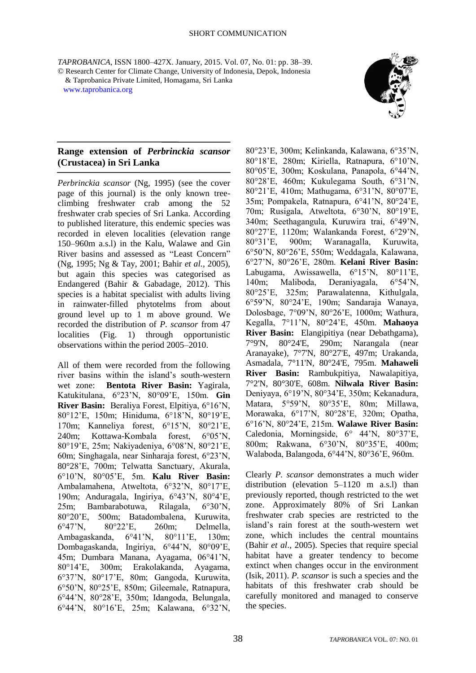*TAPROBANICA*, ISSN 1800–427X. January, 2015. Vol. 07, No. 01: pp. 38–39. © Research Center for Climate Change, University of Indonesia, Depok, Indonesia & Taprobanica Private Limited, Homagama, Sri Lanka [www.taprobanica.org](http://www.taprobanica.org/)



## **Range extension of** *Perbrinckia scansor* **(Crustacea) in Sri Lanka**

*Perbrinckia scansor* (Ng, 1995) (see the cover page of this journal) is the only known treeclimbing freshwater crab among the 52 freshwater crab species of Sri Lanka. According to published literature, this endemic species was recorded in eleven localities (elevation range 150–960m a.s.l) in the Kalu, Walawe and Gin River basins and assessed as "Least Concern" (Ng, 1995; Ng & Tay, 2001; Bahir *et al.*, 2005), but again this species was categorised as Endangered (Bahir & Gabadage, 2012). This species is a habitat specialist with adults living in rainwater-filled phytotelms from about ground level up to 1 m above ground. We recorded the distribution of *P. scansor* from 47 localities (Fig. 1) through opportunistic observations within the period 2005–2010.

All of them were recorded from the following river basins within the island's south-western wet zone: **Bentota River Basin:** Yagirala, Katukitulana, 6°23'N, 80°09'E, 150m. **Gin River Basin:** Beraliya Forest, Elpitiya, 6°16'N, 80°12'E, 150m; Hiniduma, 6°18'N, 80°19'E, 170m; Kanneliya forest, 6°15'N, 80°21'E, 240m; Kottawa-Kombala forest, 6°05'N, 80°19'E, 25m; Nakiyadeniya, 6°08'N, 80°21'E, 60m; Singhagala, near Sinharaja forest, 6°23'N, 80°28'E, 700m; Telwatta Sanctuary, Akurala, 6°10'N, 80°05'E, 5m. **Kalu River Basin:**  Ambalamahena, Atweltota, 6°32'N, 80°17'E, 190m; Anduragala, Ingiriya, 6°43'N, 80°4'E, 25m; Bambarabotuwa, Rilagala, 6°30'N, 80°20'E, 500m; Batadombalena, Kuruwita, 6°47'N, 80°22'E, 260m; Delmella, Ambagaskanda, 6°41'N, 80°11'E, 130m; Dombagaskanda, Ingiriya, 6°44'N, 80°09'E, 45m; Dumbara Manana, Ayagama, 06°41'N, 80°14'E, 300m; Erakolakanda, Ayagama, 6°37'N, 80°17'E, 80m; Gangoda, Kuruwita, 6°50'N, 80°25'E, 850m; Gileemale, Ratnapura, 6°44'N, 80°28'E, 350m; Idangoda, Belungala, 6°44'N, 80°16'E, 25m; Kalawana, 6°32'N,

80°23'E, 300m; Kelinkanda, Kalawana, 6°35'N, 80°18'E, 280m; Kiriella, Ratnapura, 6°10'N, 80°05'E, 300m; Koskulana, Panapola, 6°44'N, 80°28'E, 460m; Kukulegama South, 6°31'N, 80°21'E, 410m; Mathugama, 6°31'N, 80°07'E, 35m; Pompakela, Ratnapura, 6°41'N, 80°24'E, 70m; Rusigala, Atweltota, 6°30'N, 80°19'E, 340m; Seethagangula, Kuruwira trai, 6°49'N, 80°27'E, 1120m; Walankanda Forest, 6°29'N, 80°31'E, 900m; Waranagalla, Kuruwita, 6°50'N, 80°26'E, 550m; Weddagala, Kalawana, 6°27'N, 80°26'E, 280m. **Kelani River Basin:**  Labugama, Awissawella, 6°15'N, 80°11'E, 140m; Maliboda, Deraniyagala, 6°54'N, 80°25'E, 325m; Parawalatenna, Kithulgala, 6°59'N, 80°24'E, 190m; Sandaraja Wanaya, Dolosbage, 7°09'N, 80°26'E, 1000m; Wathura, Kegalla, 7°11'N, 80°24'E, 450m. **Mahaoya River Basin:** Elangipitiya (near Debathgama), 7°9'N, 80°24'E, 290m; Narangala (near Aranayake), 7°7'N, 80°27'E, 497m; Urakanda, Asmadala, 7°11'N, 80°24'E, 795m. **Mahaweli River Basin:** Rambukpitiya, Nawalapitiya, 7°2'N, 80°30'E, 608m. **Nilwala River Basin:**  Deniyaya, 6°19'N, 80°34'E, 350m; Kekanadura, Matara, 5°59'N, 80°35'E, 80m; Millawa, Morawaka, 6°17'N, 80°28'E, 320m; Opatha, 6°16'N, 80°24'E, 215m. **Walawe River Basin:**  Caledonia, Morningside, 6° 44'N, 80°37'E, 800m; Rakwana, 6°30'N, 80°35'E, 400m; Walaboda, Balangoda, 6°44'N, 80°36'E, 960m.

Clearly *P. scansor* demonstrates a much wider distribution (elevation 5–1120 m a.s.l) than previously reported, though restricted to the wet zone. Approximately 80% of Sri Lankan freshwater crab species are restricted to the island's rain forest at the south-western wet zone, which includes the central mountains (Bahir *et al*., 2005). Species that require special habitat have a greater tendency to become extinct when changes occur in the environment (Isik, 2011). *P. scansor* is such a species and the habitats of this freshwater crab should be carefully monitored and managed to conserve the species.